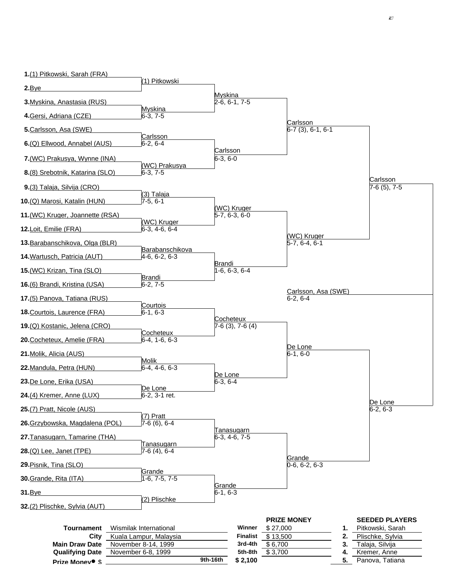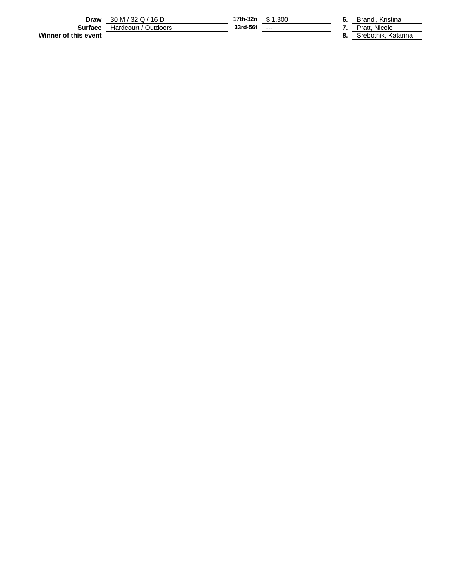**Draw** 30 M / 32 Q / 16 D **17th-32n** \$ 1,300 **6.** Brandi, Kristina **Surface** Hardcourt / Outdoors **33rd-56t** --- **7.** Pratt, Nicole **Draw**  $\frac{30 \text{ M}/32 \text{ Q}/16 \text{ D}}{\text{Surface } \frac{\text{Hardcount}/\text{Outdoors}}{\text{Hardcount}/\text{Outdoors}}}$  17th-32n  $\frac{$1,300}{$1,300}$  **6.** Brandi, Kristina **8.** Strandi, Kristina **8.** Strandi, Kristina **8.** Strandi, Kristina **8.** Strandi, Katarina **8.** Strandi,